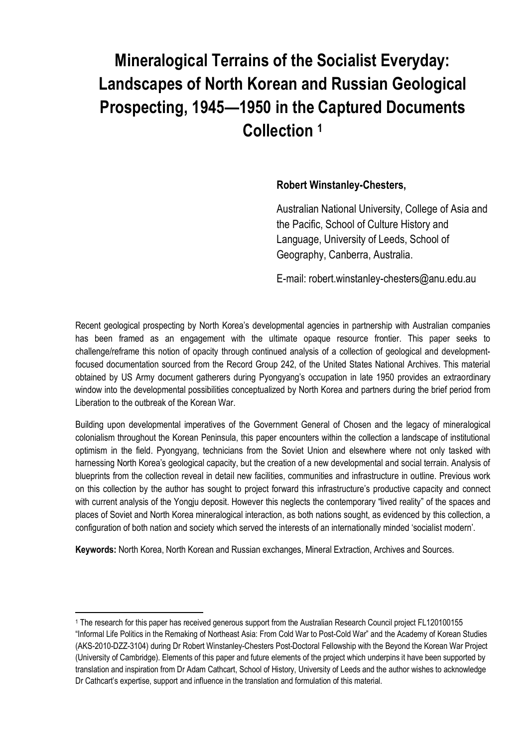## **Mineralogical Terrains of the Socialist Everyday: Landscapes of North Korean and Russian Geological Prospecting, 1945—1950 in the Captured Documents Collection <sup>1</sup>**

## **Robert Winstanley-Chesters,**

Australian National University, College of Asia and the Pacific, School of Culture History and Language, University of Leeds, School of Geography, Canberra, Australia.

E-mail: robert.winstanley-chesters@anu.edu.au

Recent geological prospecting by North Korea's developmental agencies in partnership with Australian companies has been framed as an engagement with the ultimate opaque resource frontier. This paper seeks to challenge/reframe this notion of opacity through continued analysis of a collection of geological and developmentfocused documentation sourced from the Record Group 242, of the United States National Archives. This material obtained by US Army document gatherers during Pyongyang's occupation in late 1950 provides an extraordinary window into the developmental possibilities conceptualized by North Korea and partners during the brief period from Liberation to the outbreak of the Korean War.

Building upon developmental imperatives of the Government General of Chosen and the legacy of mineralogical colonialism throughout the Korean Peninsula, this paper encounters within the collection a landscape of institutional optimism in the field. Pyongyang, technicians from the Soviet Union and elsewhere where not only tasked with harnessing North Korea's geological capacity, but the creation of a new developmental and social terrain. Analysis of blueprints from the collection reveal in detail new facilities, communities and infrastructure in outline. Previous work on this collection by the author has sought to project forward this infrastructure's productive capacity and connect with current analysis of the Yongju deposit. However this neglects the contemporary "lived reality" of the spaces and places of Soviet and North Korea mineralogical interaction, as both nations sought, as evidenced by this collection, a configuration of both nation and society which served the interests of an internationally minded 'socialist modern'.

**Keywords:** North Korea, North Korean and Russian exchanges, Mineral Extraction, Archives and Sources.

 $\overline{a}$ 

<sup>1</sup> The research for this paper has received generous support from the Australian Research Council project FL120100155 "Informal Life Politics in the Remaking of Northeast Asia: From Cold War to Post-Cold War" and the Academy of Korean Studies (AKS-2010-DZZ-3104) during Dr Robert Winstanley-Chesters Post-Doctoral Fellowship with the Beyond the Korean War Project (University of Cambridge). Elements of this paper and future elements of the project which underpins it have been supported by translation and inspiration from Dr Adam Cathcart, School of History, University of Leeds and the author wishes to acknowledge Dr Cathcart's expertise, support and influence in the translation and formulation of this material.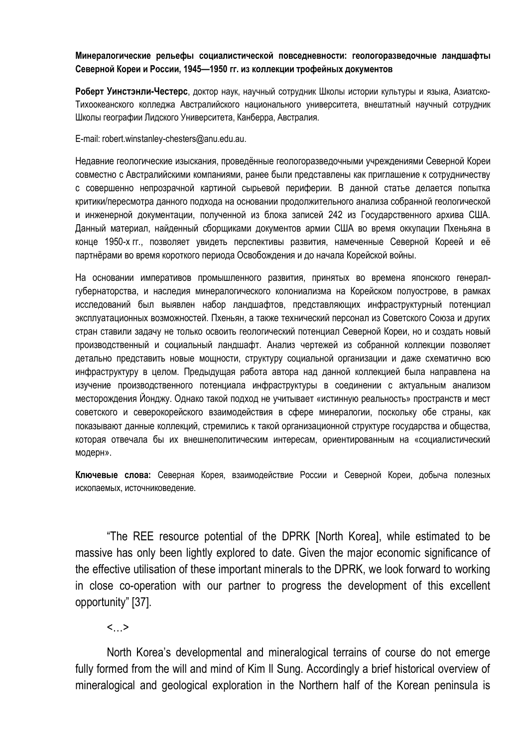## **Минералогические рельефы социалистической повседневности: геологоразведочные ландшафты Северной Кореи и России, 1945—1950 гг. из коллекции трофейных документов**

**Роберт Уинстэнли-Честерс**, доктор наук, научный сотрудник Школы истории культуры и языка, Азиатско-Тихоокеанского колледжа Австралийского национального университета, внештатный научный сотрудник Школы географии Лидского Университета, Канберра, Австралия.

E-mail: robert.winstanley-chesters@anu.edu.au.

Недавние геологические изыскания, проведённые геологоразведочными учреждениями Северной Кореи совместно с Австралийскими компаниями, ранее были представлены как приглашение к сотрудничеству с совершенно непрозрачной картиной сырьевой периферии. В данной статье делается попытка критики/пересмотра данного подхода на основании продолжительного анализа собранной геологической и инженерной документации, полученной из блока записей 242 из Государственного архива США. Данный материал, найденный сборщиками документов армии США во время оккупации Пхеньяна в конце 1950-х гг., позволяет увидеть перспективы развития, намеченные Северной Кореей и её партнёрами во время короткого периода Освобождения и до начала Корейской войны.

На основании императивов промышленного развития, принятых во времена японского генералгубернаторства, и наследия минералогического колониализма на Корейском полуострове, в рамках исследований был выявлен набор ландшафтов, представляющих инфраструктурный потенциал эксплуатационных возможностей. Пхеньян, а также технический персонал из Советского Союза и других стран ставили задачу не только освоить геологический потенциал Северной Кореи, но и создать новый производственный и социальный ландшафт. Анализ чертежей из собранной коллекции позволяет детально представить новые мощности, структуру социальной организации и даже схематично всю инфраструктуру в целом. Предыдущая работа автора над данной коллекцией была направлена на изучение производственного потенциала инфраструктуры в соединении с актуальным анализом месторождения Йонджу. Однако такой подход не учитывает «истинную реальность» пространств и мест советского и северокорейского взаимодействия в сфере минералогии, поскольку обе страны, как показывают данные коллекций, стремились к такой организационной структуре государства и общества, которая отвечала бы их внешнеполитическим интересам, ориентированным на «социалистический модерн».

**Ключевые слова:** Северная Корея, взаимодействие России и Северной Кореи, добыча полезных ископаемых, источниковедение.

"The REE resource potential of the DPRK [North Korea], while estimated to be massive has only been lightly explored to date. Given the major economic significance of the effective utilisation of these important minerals to the DPRK, we look forward to working in close co-operation with our partner to progress the development of this excellent opportunity" [37].

 $\langle$  >

North Korea's developmental and mineralogical terrains of course do not emerge fully formed from the will and mind of Kim Il Sung. Accordingly a brief historical overview of mineralogical and geological exploration in the Northern half of the Korean peninsula is